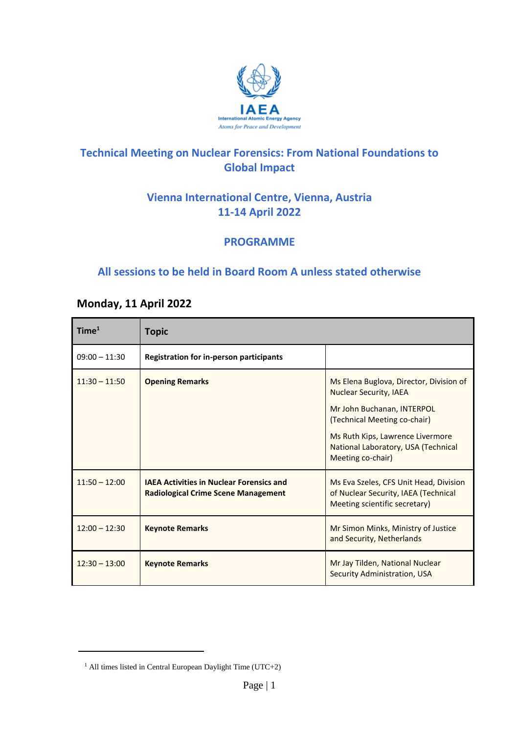

### **Technical Meeting on Nuclear Forensics: From National Foundations to Global Impact**

## **Vienna International Centre, Vienna, Austria 11-14 April 2022**

#### **PROGRAMME**

### **All sessions to be held in Board Room A unless stated otherwise**

#### **Monday, 11 April 2022**

| Time <sup>1</sup> | <b>Topic</b>                                                                                  |                                                                                                                                                                                                                                        |
|-------------------|-----------------------------------------------------------------------------------------------|----------------------------------------------------------------------------------------------------------------------------------------------------------------------------------------------------------------------------------------|
| $09:00 - 11:30$   | <b>Registration for in-person participants</b>                                                |                                                                                                                                                                                                                                        |
| $11:30 - 11:50$   | <b>Opening Remarks</b>                                                                        | Ms Elena Buglova, Director, Division of<br><b>Nuclear Security, IAEA</b><br>Mr John Buchanan, INTERPOL<br>(Technical Meeting co-chair)<br>Ms Ruth Kips, Lawrence Livermore<br>National Laboratory, USA (Technical<br>Meeting co-chair) |
| $11:50 - 12:00$   | <b>IAEA Activities in Nuclear Forensics and</b><br><b>Radiological Crime Scene Management</b> | Ms Eva Szeles, CFS Unit Head, Division<br>of Nuclear Security, IAEA (Technical<br>Meeting scientific secretary)                                                                                                                        |
| $12:00 - 12:30$   | <b>Keynote Remarks</b>                                                                        | Mr Simon Minks, Ministry of Justice<br>and Security, Netherlands                                                                                                                                                                       |
| $12:30 - 13:00$   | <b>Keynote Remarks</b>                                                                        | Mr Jay Tilden, National Nuclear<br>Security Administration, USA                                                                                                                                                                        |

 $\overline{a}$ 

 $1$  All times listed in Central European Daylight Time (UTC+2)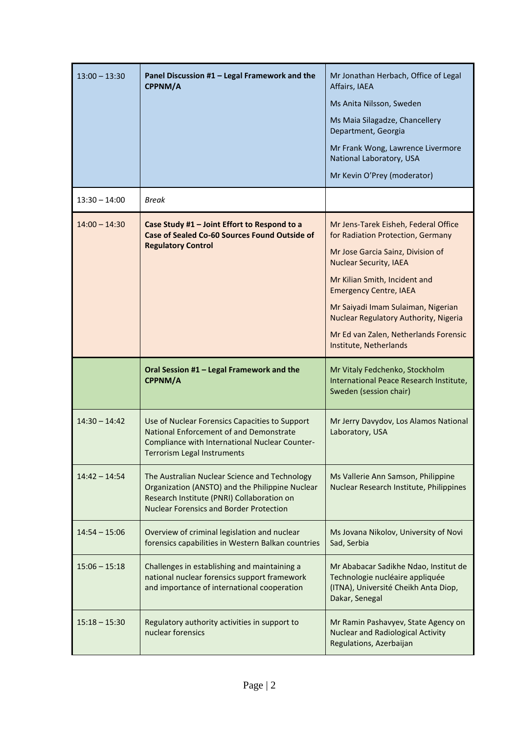| $13:00 - 13:30$ | Panel Discussion #1 - Legal Framework and the<br>CPPNM/A                                                                                                                                         | Mr Jonathan Herbach, Office of Legal<br>Affairs, IAEA<br>Ms Anita Nilsson, Sweden<br>Ms Maia Silagadze, Chancellery<br>Department, Georgia<br>Mr Frank Wong, Lawrence Livermore<br>National Laboratory, USA<br>Mr Kevin O'Prey (moderator)                                                                                                                          |
|-----------------|--------------------------------------------------------------------------------------------------------------------------------------------------------------------------------------------------|---------------------------------------------------------------------------------------------------------------------------------------------------------------------------------------------------------------------------------------------------------------------------------------------------------------------------------------------------------------------|
| $13:30 - 14:00$ | <b>Break</b>                                                                                                                                                                                     |                                                                                                                                                                                                                                                                                                                                                                     |
| $14:00 - 14:30$ | Case Study #1 - Joint Effort to Respond to a<br><b>Case of Sealed Co-60 Sources Found Outside of</b><br><b>Regulatory Control</b>                                                                | Mr Jens-Tarek Eisheh, Federal Office<br>for Radiation Protection, Germany<br>Mr Jose Garcia Sainz, Division of<br><b>Nuclear Security, IAEA</b><br>Mr Kilian Smith, Incident and<br><b>Emergency Centre, IAEA</b><br>Mr Saiyadi Imam Sulaiman, Nigerian<br>Nuclear Regulatory Authority, Nigeria<br>Mr Ed van Zalen, Netherlands Forensic<br>Institute, Netherlands |
|                 |                                                                                                                                                                                                  |                                                                                                                                                                                                                                                                                                                                                                     |
|                 | Oral Session #1 - Legal Framework and the<br>CPPNM/A                                                                                                                                             | Mr Vitaly Fedchenko, Stockholm<br>International Peace Research Institute,<br>Sweden (session chair)                                                                                                                                                                                                                                                                 |
| $14:30 - 14:42$ | Use of Nuclear Forensics Capacities to Support<br>National Enforcement of and Demonstrate<br>Compliance with International Nuclear Counter-<br>Terrorism Legal Instruments                       | Mr Jerry Davydov, Los Alamos National<br>Laboratory, USA                                                                                                                                                                                                                                                                                                            |
| $14:42 - 14:54$ | The Australian Nuclear Science and Technology<br>Organization (ANSTO) and the Philippine Nuclear<br>Research Institute (PNRI) Collaboration on<br><b>Nuclear Forensics and Border Protection</b> | Ms Vallerie Ann Samson, Philippine<br>Nuclear Research Institute, Philippines                                                                                                                                                                                                                                                                                       |
| $14:54 - 15:06$ | Overview of criminal legislation and nuclear<br>forensics capabilities in Western Balkan countries                                                                                               | Ms Jovana Nikolov, University of Novi<br>Sad, Serbia                                                                                                                                                                                                                                                                                                                |
| $15:06 - 15:18$ | Challenges in establishing and maintaining a<br>national nuclear forensics support framework<br>and importance of international cooperation                                                      | Mr Ababacar Sadikhe Ndao, Institut de<br>Technologie nucléaire appliquée<br>(ITNA), Université Cheikh Anta Diop,<br>Dakar, Senegal                                                                                                                                                                                                                                  |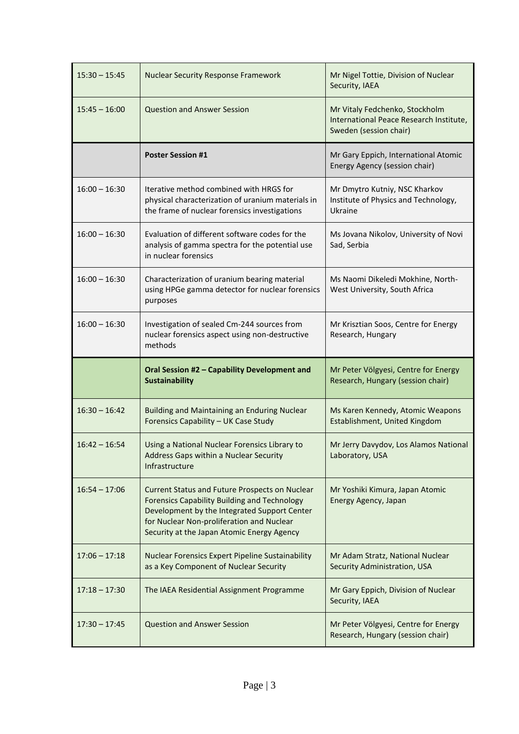| $15:30 - 15:45$ | <b>Nuclear Security Response Framework</b>                                                                                                                                                                                                              | Mr Nigel Tottie, Division of Nuclear<br>Security, IAEA                                              |
|-----------------|---------------------------------------------------------------------------------------------------------------------------------------------------------------------------------------------------------------------------------------------------------|-----------------------------------------------------------------------------------------------------|
| $15:45 - 16:00$ | <b>Question and Answer Session</b>                                                                                                                                                                                                                      | Mr Vitaly Fedchenko, Stockholm<br>International Peace Research Institute,<br>Sweden (session chair) |
|                 | <b>Poster Session #1</b>                                                                                                                                                                                                                                | Mr Gary Eppich, International Atomic<br>Energy Agency (session chair)                               |
| $16:00 - 16:30$ | Iterative method combined with HRGS for<br>physical characterization of uranium materials in<br>the frame of nuclear forensics investigations                                                                                                           | Mr Dmytro Kutniy, NSC Kharkov<br>Institute of Physics and Technology,<br>Ukraine                    |
| $16:00 - 16:30$ | Evaluation of different software codes for the<br>analysis of gamma spectra for the potential use<br>in nuclear forensics                                                                                                                               | Ms Jovana Nikolov, University of Novi<br>Sad, Serbia                                                |
| $16:00 - 16:30$ | Characterization of uranium bearing material<br>using HPGe gamma detector for nuclear forensics<br>purposes                                                                                                                                             | Ms Naomi Dikeledi Mokhine, North-<br>West University, South Africa                                  |
| $16:00 - 16:30$ | Investigation of sealed Cm-244 sources from<br>nuclear forensics aspect using non-destructive<br>methods                                                                                                                                                | Mr Krisztian Soos, Centre for Energy<br>Research, Hungary                                           |
|                 |                                                                                                                                                                                                                                                         |                                                                                                     |
|                 | Oral Session #2 - Capability Development and<br><b>Sustainability</b>                                                                                                                                                                                   | Mr Peter Völgyesi, Centre for Energy<br>Research, Hungary (session chair)                           |
| $16:30 - 16:42$ | Building and Maintaining an Enduring Nuclear<br>Forensics Capability - UK Case Study                                                                                                                                                                    | Ms Karen Kennedy, Atomic Weapons<br>Establishment, United Kingdom                                   |
| $16:42 - 16:54$ | Using a National Nuclear Forensics Library to<br>Address Gaps within a Nuclear Security<br>Infrastructure                                                                                                                                               | Mr Jerry Davydov, Los Alamos National<br>Laboratory, USA                                            |
| $16:54 - 17:06$ | <b>Current Status and Future Prospects on Nuclear</b><br><b>Forensics Capability Building and Technology</b><br>Development by the Integrated Support Center<br>for Nuclear Non-proliferation and Nuclear<br>Security at the Japan Atomic Energy Agency | Mr Yoshiki Kimura, Japan Atomic<br>Energy Agency, Japan                                             |
| $17:06 - 17:18$ | Nuclear Forensics Expert Pipeline Sustainability<br>as a Key Component of Nuclear Security                                                                                                                                                              | Mr Adam Stratz, National Nuclear<br>Security Administration, USA                                    |
| $17:18 - 17:30$ | The IAEA Residential Assignment Programme                                                                                                                                                                                                               | Mr Gary Eppich, Division of Nuclear<br>Security, IAEA                                               |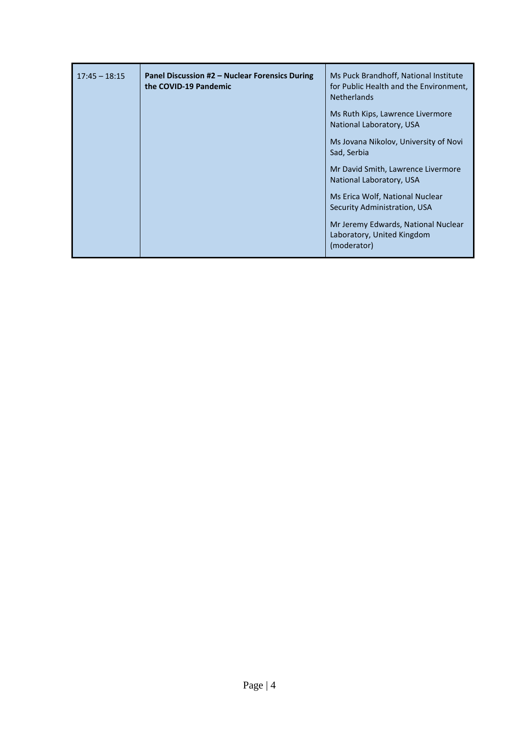| $17:45 - 18:15$ | Panel Discussion #2 – Nuclear Forensics During<br>the COVID-19 Pandemic | Ms Puck Brandhoff, National Institute<br>for Public Health and the Environment,<br><b>Netherlands</b> |
|-----------------|-------------------------------------------------------------------------|-------------------------------------------------------------------------------------------------------|
|                 |                                                                         | Ms Ruth Kips, Lawrence Livermore<br>National Laboratory, USA                                          |
|                 |                                                                         | Ms Jovana Nikolov, University of Novi<br>Sad, Serbia                                                  |
|                 |                                                                         | Mr David Smith, Lawrence Livermore<br>National Laboratory, USA                                        |
|                 |                                                                         | Ms Erica Wolf, National Nuclear<br>Security Administration, USA                                       |
|                 |                                                                         | Mr Jeremy Edwards, National Nuclear<br>Laboratory, United Kingdom<br>(moderator)                      |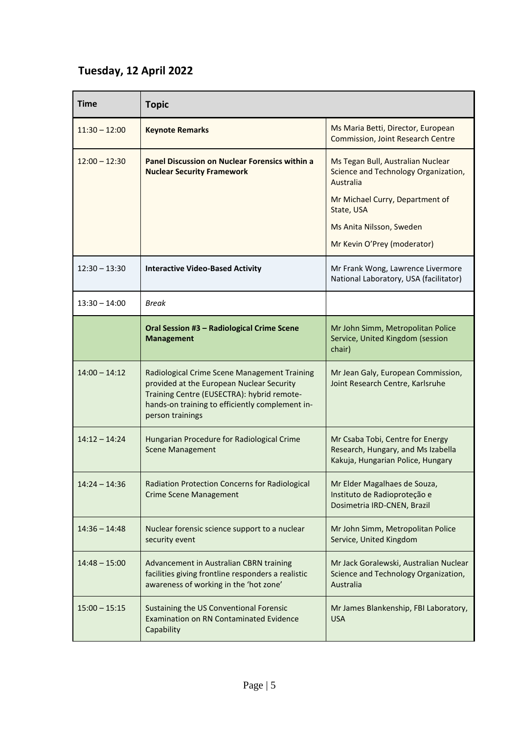## **Tuesday, 12 April 2022**

| <b>Time</b>     | <b>Topic</b>                                                                                                                                                                                                   |                                                                                                                                                                     |
|-----------------|----------------------------------------------------------------------------------------------------------------------------------------------------------------------------------------------------------------|---------------------------------------------------------------------------------------------------------------------------------------------------------------------|
| $11:30 - 12:00$ | <b>Keynote Remarks</b>                                                                                                                                                                                         | Ms Maria Betti, Director, European<br><b>Commission, Joint Research Centre</b>                                                                                      |
| $12:00 - 12:30$ | Panel Discussion on Nuclear Forensics within a<br><b>Nuclear Security Framework</b>                                                                                                                            | Ms Tegan Bull, Australian Nuclear<br>Science and Technology Organization,<br>Australia<br>Mr Michael Curry, Department of<br>State, USA<br>Ms Anita Nilsson, Sweden |
|                 |                                                                                                                                                                                                                | Mr Kevin O'Prey (moderator)                                                                                                                                         |
| $12:30 - 13:30$ | <b>Interactive Video-Based Activity</b>                                                                                                                                                                        | Mr Frank Wong, Lawrence Livermore<br>National Laboratory, USA (facilitator)                                                                                         |
| $13:30 - 14:00$ | <b>Break</b>                                                                                                                                                                                                   |                                                                                                                                                                     |
|                 | Oral Session #3 - Radiological Crime Scene<br><b>Management</b>                                                                                                                                                | Mr John Simm, Metropolitan Police<br>Service, United Kingdom (session<br>chair)                                                                                     |
| $14:00 - 14:12$ | Radiological Crime Scene Management Training<br>provided at the European Nuclear Security<br>Training Centre (EUSECTRA): hybrid remote-<br>hands-on training to efficiently complement in-<br>person trainings | Mr Jean Galy, European Commission,<br>Joint Research Centre, Karlsruhe                                                                                              |
| $14:12 - 14:24$ | Hungarian Procedure for Radiological Crime<br><b>Scene Management</b>                                                                                                                                          | Mr Csaba Tobi, Centre for Energy<br>Research, Hungary, and Ms Izabella<br>Kakuja, Hungarian Police, Hungary                                                         |
| $14:24 - 14:36$ | Radiation Protection Concerns for Radiological<br><b>Crime Scene Management</b>                                                                                                                                | Mr Elder Magalhaes de Souza,<br>Instituto de Radioproteção e<br>Dosimetria IRD-CNEN, Brazil                                                                         |
| $14:36 - 14:48$ | Nuclear forensic science support to a nuclear<br>security event                                                                                                                                                | Mr John Simm, Metropolitan Police<br>Service, United Kingdom                                                                                                        |
| $14:48 - 15:00$ | Advancement in Australian CBRN training<br>facilities giving frontline responders a realistic<br>awareness of working in the 'hot zone'                                                                        | Mr Jack Goralewski, Australian Nuclear<br>Science and Technology Organization,<br>Australia                                                                         |
| $15:00 - 15:15$ | Sustaining the US Conventional Forensic<br><b>Examination on RN Contaminated Evidence</b><br>Capability                                                                                                        | Mr James Blankenship, FBI Laboratory,<br><b>USA</b>                                                                                                                 |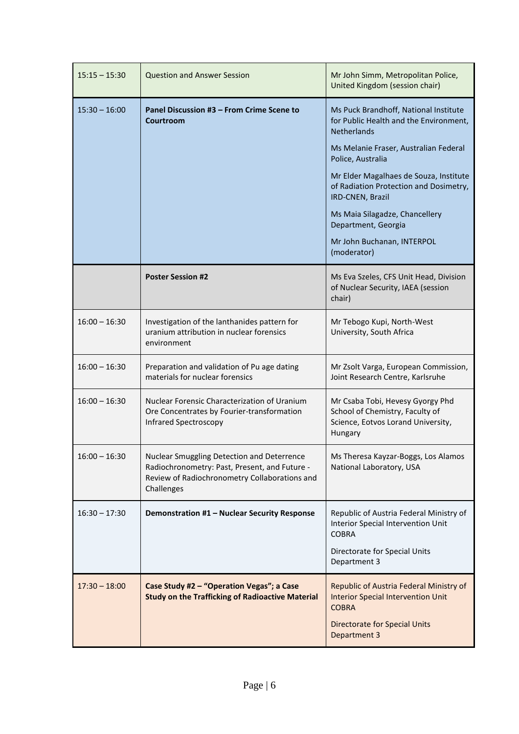| $15:15 - 15:30$ | <b>Question and Answer Session</b>                                                                                                                         | Mr John Simm, Metropolitan Police,<br>United Kingdom (session chair)                                                                                         |
|-----------------|------------------------------------------------------------------------------------------------------------------------------------------------------------|--------------------------------------------------------------------------------------------------------------------------------------------------------------|
| $15:30 - 16:00$ | Panel Discussion #3 - From Crime Scene to<br>Courtroom                                                                                                     | Ms Puck Brandhoff, National Institute<br>for Public Health and the Environment,<br>Netherlands                                                               |
|                 |                                                                                                                                                            | Ms Melanie Fraser, Australian Federal<br>Police, Australia                                                                                                   |
|                 |                                                                                                                                                            | Mr Elder Magalhaes de Souza, Institute<br>of Radiation Protection and Dosimetry,<br>IRD-CNEN, Brazil                                                         |
|                 |                                                                                                                                                            | Ms Maia Silagadze, Chancellery<br>Department, Georgia                                                                                                        |
|                 |                                                                                                                                                            | Mr John Buchanan, INTERPOL<br>(moderator)                                                                                                                    |
|                 | <b>Poster Session #2</b>                                                                                                                                   | Ms Eva Szeles, CFS Unit Head, Division<br>of Nuclear Security, IAEA (session<br>chair)                                                                       |
| $16:00 - 16:30$ | Investigation of the lanthanides pattern for<br>uranium attribution in nuclear forensics<br>environment                                                    | Mr Tebogo Kupi, North-West<br>University, South Africa                                                                                                       |
| $16:00 - 16:30$ | Preparation and validation of Pu age dating<br>materials for nuclear forensics                                                                             | Mr Zsolt Varga, European Commission,<br>Joint Research Centre, Karlsruhe                                                                                     |
| $16:00 - 16:30$ | Nuclear Forensic Characterization of Uranium<br>Ore Concentrates by Fourier-transformation<br><b>Infrared Spectroscopy</b>                                 | Mr Csaba Tobi, Hevesy Gyorgy Phd<br>School of Chemistry, Faculty of<br>Science, Eotvos Lorand University,<br>Hungary                                         |
| $16:00 - 16:30$ | Nuclear Smuggling Detection and Deterrence<br>Radiochronometry: Past, Present, and Future -<br>Review of Radiochronometry Collaborations and<br>Challenges | Ms Theresa Kayzar-Boggs, Los Alamos<br>National Laboratory, USA                                                                                              |
| $16:30 - 17:30$ | Demonstration #1 - Nuclear Security Response                                                                                                               | Republic of Austria Federal Ministry of<br>Interior Special Intervention Unit<br><b>COBRA</b>                                                                |
|                 |                                                                                                                                                            | Directorate for Special Units<br>Department 3                                                                                                                |
| $17:30 - 18:00$ | Case Study #2 - "Operation Vegas"; a Case<br><b>Study on the Trafficking of Radioactive Material</b>                                                       | Republic of Austria Federal Ministry of<br><b>Interior Special Intervention Unit</b><br><b>COBRA</b><br><b>Directorate for Special Units</b><br>Department 3 |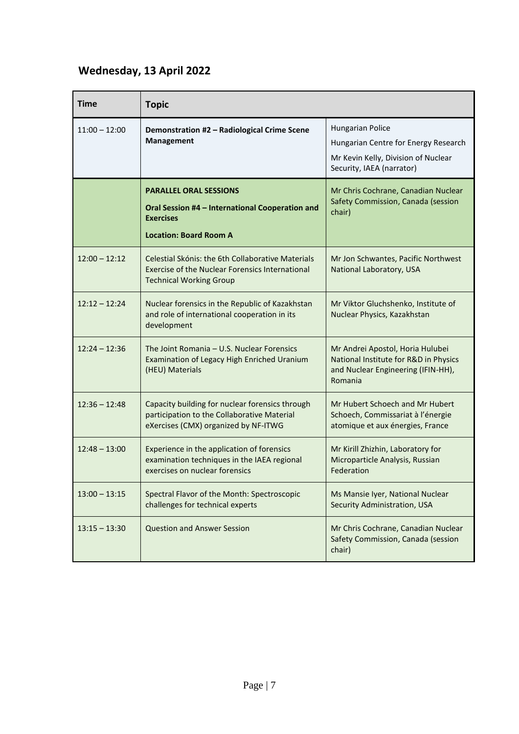# **Wednesday, 13 April 2022**

| <b>Time</b>     | <b>Topic</b>                                                                                                                                  |                                                                                                                                     |
|-----------------|-----------------------------------------------------------------------------------------------------------------------------------------------|-------------------------------------------------------------------------------------------------------------------------------------|
| $11:00 - 12:00$ | Demonstration #2 - Radiological Crime Scene<br><b>Management</b>                                                                              | <b>Hungarian Police</b><br>Hungarian Centre for Energy Research<br>Mr Kevin Kelly, Division of Nuclear<br>Security, IAEA (narrator) |
|                 | <b>PARALLEL ORAL SESSIONS</b><br>Oral Session #4 - International Cooperation and<br><b>Exercises</b><br><b>Location: Board Room A</b>         | Mr Chris Cochrane, Canadian Nuclear<br>Safety Commission, Canada (session<br>chair)                                                 |
| $12:00 - 12:12$ | Celestial Skónis: the 6th Collaborative Materials<br><b>Exercise of the Nuclear Forensics International</b><br><b>Technical Working Group</b> | Mr Jon Schwantes, Pacific Northwest<br>National Laboratory, USA                                                                     |
| $12:12 - 12:24$ | Nuclear forensics in the Republic of Kazakhstan<br>and role of international cooperation in its<br>development                                | Mr Viktor Gluchshenko, Institute of<br>Nuclear Physics, Kazakhstan                                                                  |
| $12:24 - 12:36$ | The Joint Romania - U.S. Nuclear Forensics<br>Examination of Legacy High Enriched Uranium<br>(HEU) Materials                                  | Mr Andrei Apostol, Horia Hulubei<br>National Institute for R&D in Physics<br>and Nuclear Engineering (IFIN-HH),<br>Romania          |
| $12:36 - 12:48$ | Capacity building for nuclear forensics through<br>participation to the Collaborative Material<br>eXercises (CMX) organized by NF-ITWG        | Mr Hubert Schoech and Mr Hubert<br>Schoech, Commissariat à l'énergie<br>atomique et aux énergies, France                            |
| $12:48 - 13:00$ | Experience in the application of forensics<br>examination techniques in the IAEA regional<br>exercises on nuclear forensics                   | Mr Kirill Zhizhin, Laboratory for<br>Microparticle Analysis, Russian<br>Federation                                                  |
| $13:00 - 13:15$ | Spectral Flavor of the Month: Spectroscopic<br>challenges for technical experts                                                               | Ms Mansie Iyer, National Nuclear<br>Security Administration, USA                                                                    |
| $13:15 - 13:30$ | <b>Question and Answer Session</b>                                                                                                            | Mr Chris Cochrane, Canadian Nuclear<br>Safety Commission, Canada (session<br>chair)                                                 |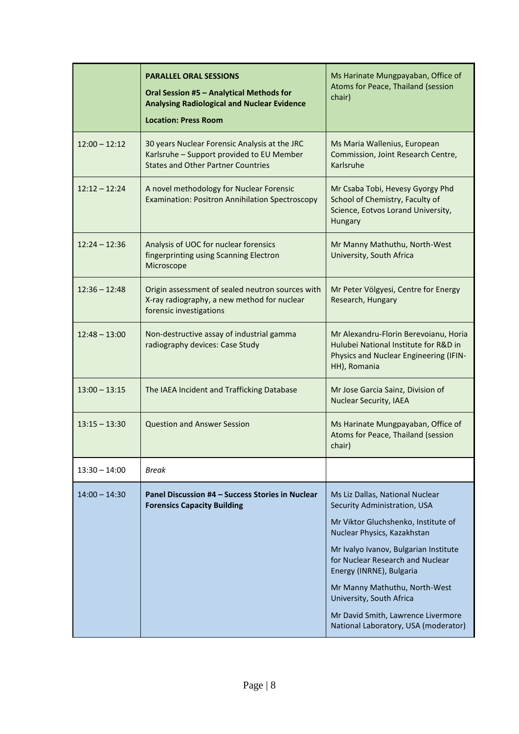|                 | <b>PARALLEL ORAL SESSIONS</b><br>Oral Session #5 - Analytical Methods for<br><b>Analysing Radiological and Nuclear Evidence</b><br><b>Location: Press Room</b> | Ms Harinate Mungpayaban, Office of<br>Atoms for Peace, Thailand (session<br>chair)                                                       |
|-----------------|----------------------------------------------------------------------------------------------------------------------------------------------------------------|------------------------------------------------------------------------------------------------------------------------------------------|
| $12:00 - 12:12$ | 30 years Nuclear Forensic Analysis at the JRC<br>Karlsruhe - Support provided to EU Member<br><b>States and Other Partner Countries</b>                        | Ms Maria Wallenius, European<br>Commission, Joint Research Centre,<br>Karlsruhe                                                          |
| $12:12 - 12:24$ | A novel methodology for Nuclear Forensic<br><b>Examination: Positron Annihilation Spectroscopy</b>                                                             | Mr Csaba Tobi, Hevesy Gyorgy Phd<br>School of Chemistry, Faculty of<br>Science, Eotvos Lorand University,<br>Hungary                     |
| $12:24 - 12:36$ | Analysis of UOC for nuclear forensics<br>fingerprinting using Scanning Electron<br>Microscope                                                                  | Mr Manny Mathuthu, North-West<br>University, South Africa                                                                                |
| $12:36 - 12:48$ | Origin assessment of sealed neutron sources with<br>X-ray radiography, a new method for nuclear<br>forensic investigations                                     | Mr Peter Völgyesi, Centre for Energy<br>Research, Hungary                                                                                |
| $12:48 - 13:00$ | Non-destructive assay of industrial gamma<br>radiography devices: Case Study                                                                                   | Mr Alexandru-Florin Berevoianu, Horia<br>Hulubei National Institute for R&D in<br>Physics and Nuclear Engineering (IFIN-<br>HH), Romania |
| $13:00 - 13:15$ | The IAEA Incident and Trafficking Database                                                                                                                     | Mr Jose Garcia Sainz, Division of<br><b>Nuclear Security, IAEA</b>                                                                       |
| $13:15 - 13:30$ | <b>Question and Answer Session</b>                                                                                                                             | Ms Harinate Mungpayaban, Office of<br>Atoms for Peace, Thailand (session<br>chair)                                                       |
| $13:30 - 14:00$ | <b>Break</b>                                                                                                                                                   |                                                                                                                                          |
| $14:00 - 14:30$ | Panel Discussion #4 – Success Stories in Nuclear<br><b>Forensics Capacity Building</b>                                                                         | Ms Liz Dallas, National Nuclear<br>Security Administration, USA                                                                          |
|                 |                                                                                                                                                                | Mr Viktor Gluchshenko, Institute of<br>Nuclear Physics, Kazakhstan                                                                       |
|                 |                                                                                                                                                                | Mr Ivalyo Ivanov, Bulgarian Institute<br>for Nuclear Research and Nuclear<br>Energy (INRNE), Bulgaria                                    |
|                 |                                                                                                                                                                | Mr Manny Mathuthu, North-West<br>University, South Africa                                                                                |
|                 |                                                                                                                                                                | Mr David Smith, Lawrence Livermore<br>National Laboratory, USA (moderator)                                                               |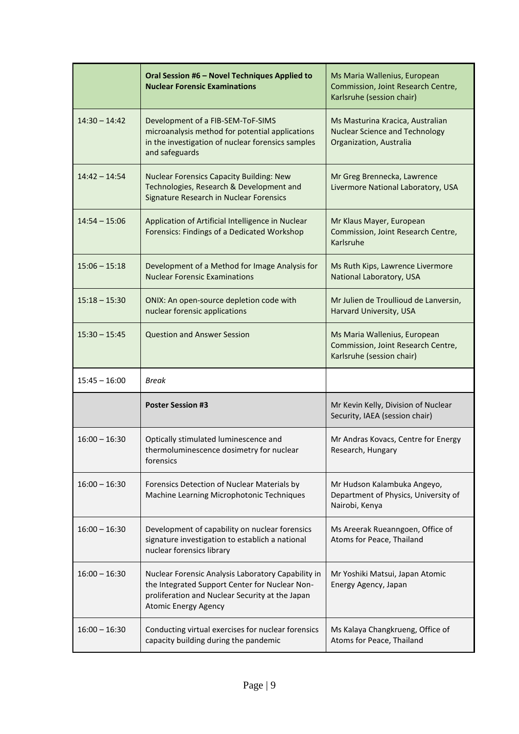|                 | Oral Session #6 - Novel Techniques Applied to<br><b>Nuclear Forensic Examinations</b>                                                                                                  | Ms Maria Wallenius, European<br>Commission, Joint Research Centre,<br>Karlsruhe (session chair)      |
|-----------------|----------------------------------------------------------------------------------------------------------------------------------------------------------------------------------------|------------------------------------------------------------------------------------------------------|
| $14:30 - 14:42$ | Development of a FIB-SEM-ToF-SIMS<br>microanalysis method for potential applications<br>in the investigation of nuclear forensics samples<br>and safeguards                            | Ms Masturina Kracica, Australian<br><b>Nuclear Science and Technology</b><br>Organization, Australia |
| $14:42 - 14:54$ | <b>Nuclear Forensics Capacity Building: New</b><br>Technologies, Research & Development and<br>Signature Research in Nuclear Forensics                                                 | Mr Greg Brennecka, Lawrence<br>Livermore National Laboratory, USA                                    |
| $14:54 - 15:06$ | Application of Artificial Intelligence in Nuclear<br>Forensics: Findings of a Dedicated Workshop                                                                                       | Mr Klaus Mayer, European<br>Commission, Joint Research Centre,<br>Karlsruhe                          |
| $15:06 - 15:18$ | Development of a Method for Image Analysis for<br><b>Nuclear Forensic Examinations</b>                                                                                                 | Ms Ruth Kips, Lawrence Livermore<br>National Laboratory, USA                                         |
| $15:18 - 15:30$ | ONIX: An open-source depletion code with<br>nuclear forensic applications                                                                                                              | Mr Julien de Troullioud de Lanversin,<br>Harvard University, USA                                     |
| $15:30 - 15:45$ | <b>Question and Answer Session</b>                                                                                                                                                     | Ms Maria Wallenius, European<br>Commission, Joint Research Centre,<br>Karlsruhe (session chair)      |
|                 |                                                                                                                                                                                        |                                                                                                      |
| $15:45 - 16:00$ | Break                                                                                                                                                                                  |                                                                                                      |
|                 | <b>Poster Session #3</b>                                                                                                                                                               | Mr Kevin Kelly, Division of Nuclear<br>Security, IAEA (session chair)                                |
| $16:00 - 16:30$ | Optically stimulated luminescence and<br>thermoluminescence dosimetry for nuclear<br>forensics                                                                                         | Mr Andras Kovacs, Centre for Energy<br>Research, Hungary                                             |
| $16:00 - 16:30$ | Forensics Detection of Nuclear Materials by<br>Machine Learning Microphotonic Techniques                                                                                               | Mr Hudson Kalambuka Angeyo,<br>Department of Physics, University of<br>Nairobi, Kenya                |
| $16:00 - 16:30$ | Development of capability on nuclear forensics<br>signature investigation to establich a national<br>nuclear forensics library                                                         | Ms Areerak Rueanngoen, Office of<br>Atoms for Peace, Thailand                                        |
| $16:00 - 16:30$ | Nuclear Forensic Analysis Laboratory Capability in<br>the Integrated Support Center for Nuclear Non-<br>proliferation and Nuclear Security at the Japan<br><b>Atomic Energy Agency</b> | Mr Yoshiki Matsui, Japan Atomic<br>Energy Agency, Japan                                              |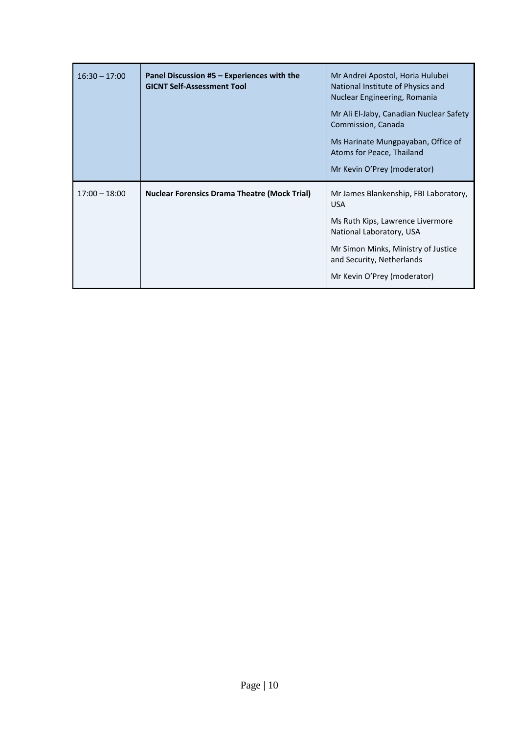| $16:30 - 17:00$ | Panel Discussion #5 - Experiences with the<br><b>GICNT Self-Assessment Tool</b> | Mr Andrei Apostol, Horia Hulubei<br>National Institute of Physics and<br>Nuclear Engineering, Romania<br>Mr Ali El-Jaby, Canadian Nuclear Safety<br>Commission, Canada<br>Ms Harinate Mungpayaban, Office of<br>Atoms for Peace, Thailand<br>Mr Kevin O'Prey (moderator) |
|-----------------|---------------------------------------------------------------------------------|--------------------------------------------------------------------------------------------------------------------------------------------------------------------------------------------------------------------------------------------------------------------------|
| $17:00 - 18:00$ | <b>Nuclear Forensics Drama Theatre (Mock Trial)</b>                             | Mr James Blankenship, FBI Laboratory,<br><b>USA</b><br>Ms Ruth Kips, Lawrence Livermore<br>National Laboratory, USA<br>Mr Simon Minks, Ministry of Justice<br>and Security, Netherlands<br>Mr Kevin O'Prey (moderator)                                                   |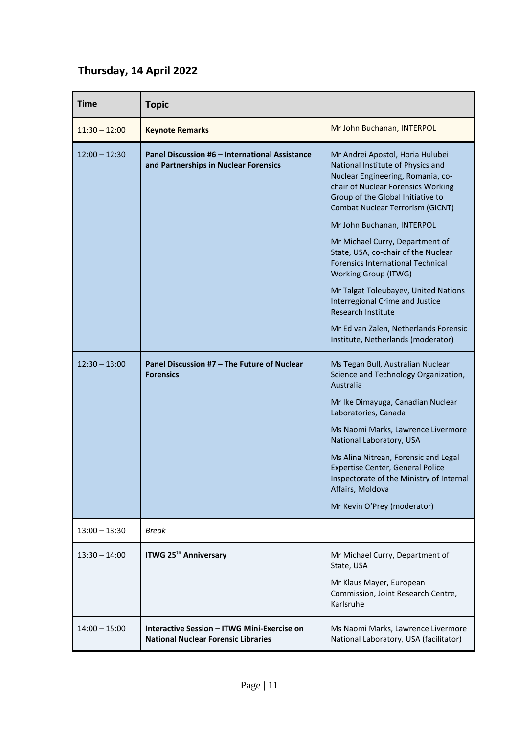# **Thursday, 14 April 2022**

| <b>Time</b>     | <b>Topic</b>                                                                              |                                                                                                                                                                                                                                                                                                                                                                                                                                                                                                                                                                                                                   |
|-----------------|-------------------------------------------------------------------------------------------|-------------------------------------------------------------------------------------------------------------------------------------------------------------------------------------------------------------------------------------------------------------------------------------------------------------------------------------------------------------------------------------------------------------------------------------------------------------------------------------------------------------------------------------------------------------------------------------------------------------------|
| $11:30 - 12:00$ | <b>Keynote Remarks</b>                                                                    | Mr John Buchanan, INTERPOL                                                                                                                                                                                                                                                                                                                                                                                                                                                                                                                                                                                        |
| $12:00 - 12:30$ | Panel Discussion #6 - International Assistance<br>and Partnerships in Nuclear Forensics   | Mr Andrei Apostol, Horia Hulubei<br>National Institute of Physics and<br>Nuclear Engineering, Romania, co-<br>chair of Nuclear Forensics Working<br>Group of the Global Initiative to<br><b>Combat Nuclear Terrorism (GICNT)</b><br>Mr John Buchanan, INTERPOL<br>Mr Michael Curry, Department of<br>State, USA, co-chair of the Nuclear<br><b>Forensics International Technical</b><br><b>Working Group (ITWG)</b><br>Mr Talgat Toleubayev, United Nations<br><b>Interregional Crime and Justice</b><br><b>Research Institute</b><br>Mr Ed van Zalen, Netherlands Forensic<br>Institute, Netherlands (moderator) |
| $12:30 - 13:00$ | Panel Discussion #7 - The Future of Nuclear<br><b>Forensics</b>                           | Ms Tegan Bull, Australian Nuclear<br>Science and Technology Organization,<br>Australia<br>Mr Ike Dimayuga, Canadian Nuclear<br>Laboratories, Canada<br>Ms Naomi Marks, Lawrence Livermore<br>National Laboratory, USA<br>Ms Alina Nitrean, Forensic and Legal<br><b>Expertise Center, General Police</b><br>Inspectorate of the Ministry of Internal<br>Affairs, Moldova<br>Mr Kevin O'Prey (moderator)                                                                                                                                                                                                           |
| $13:00 - 13:30$ | Break                                                                                     |                                                                                                                                                                                                                                                                                                                                                                                                                                                                                                                                                                                                                   |
| $13:30 - 14:00$ | <b>ITWG 25th Anniversary</b>                                                              | Mr Michael Curry, Department of<br>State, USA<br>Mr Klaus Mayer, European<br>Commission, Joint Research Centre,<br>Karlsruhe                                                                                                                                                                                                                                                                                                                                                                                                                                                                                      |
| $14:00 - 15:00$ | Interactive Session – ITWG Mini-Exercise on<br><b>National Nuclear Forensic Libraries</b> | Ms Naomi Marks, Lawrence Livermore<br>National Laboratory, USA (facilitator)                                                                                                                                                                                                                                                                                                                                                                                                                                                                                                                                      |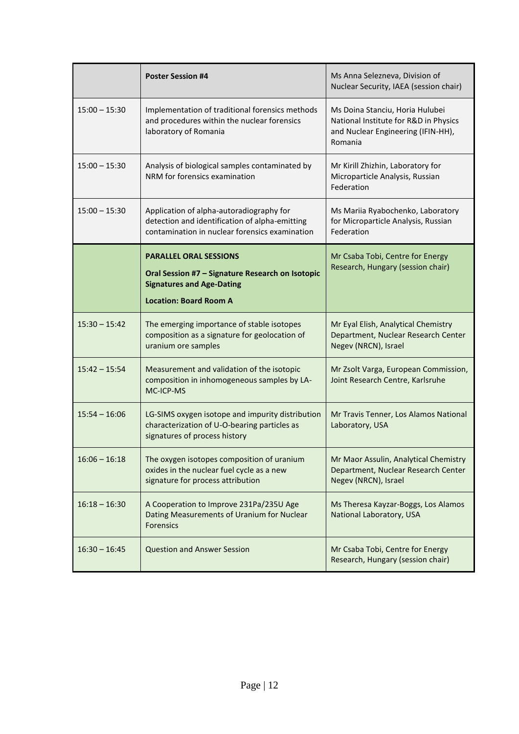|                 | <b>Poster Session #4</b>                                                                                                                               | Ms Anna Selezneva, Division of<br>Nuclear Security, IAEA (session chair)                                                  |
|-----------------|--------------------------------------------------------------------------------------------------------------------------------------------------------|---------------------------------------------------------------------------------------------------------------------------|
| $15:00 - 15:30$ | Implementation of traditional forensics methods<br>and procedures within the nuclear forensics<br>laboratory of Romania                                | Ms Doina Stanciu, Horia Hulubei<br>National Institute for R&D in Physics<br>and Nuclear Engineering (IFIN-HH),<br>Romania |
| $15:00 - 15:30$ | Analysis of biological samples contaminated by<br>NRM for forensics examination                                                                        | Mr Kirill Zhizhin, Laboratory for<br>Microparticle Analysis, Russian<br>Federation                                        |
| $15:00 - 15:30$ | Application of alpha-autoradiography for<br>detection and identification of alpha-emitting<br>contamination in nuclear forensics examination           | Ms Mariia Ryabochenko, Laboratory<br>for Microparticle Analysis, Russian<br>Federation                                    |
|                 | <b>PARALLEL ORAL SESSIONS</b><br>Oral Session #7 - Signature Research on Isotopic<br><b>Signatures and Age-Dating</b><br><b>Location: Board Room A</b> | Mr Csaba Tobi, Centre for Energy<br>Research, Hungary (session chair)                                                     |
| $15:30 - 15:42$ | The emerging importance of stable isotopes<br>composition as a signature for geolocation of<br>uranium ore samples                                     | Mr Eyal Elish, Analytical Chemistry<br>Department, Nuclear Research Center<br>Negev (NRCN), Israel                        |
| $15:42 - 15:54$ | Measurement and validation of the isotopic<br>composition in inhomogeneous samples by LA-<br>MC-ICP-MS                                                 | Mr Zsolt Varga, European Commission,<br>Joint Research Centre, Karlsruhe                                                  |
| $15:54 - 16:06$ | LG-SIMS oxygen isotope and impurity distribution<br>characterization of U-O-bearing particles as<br>signatures of process history                      | Mr Travis Tenner, Los Alamos National<br>Laboratory, USA                                                                  |
| $16:06 - 16:18$ | The oxygen isotopes composition of uranium<br>oxides in the nuclear fuel cycle as a new<br>signature for process attribution                           | Mr Maor Assulin, Analytical Chemistry<br>Department, Nuclear Research Center<br>Negev (NRCN), Israel                      |
| $16:18 - 16:30$ | A Cooperation to Improve 231Pa/235U Age<br>Dating Measurements of Uranium for Nuclear<br><b>Forensics</b>                                              | Ms Theresa Kayzar-Boggs, Los Alamos<br>National Laboratory, USA                                                           |
| $16:30 - 16:45$ | <b>Question and Answer Session</b>                                                                                                                     | Mr Csaba Tobi, Centre for Energy<br>Research, Hungary (session chair)                                                     |